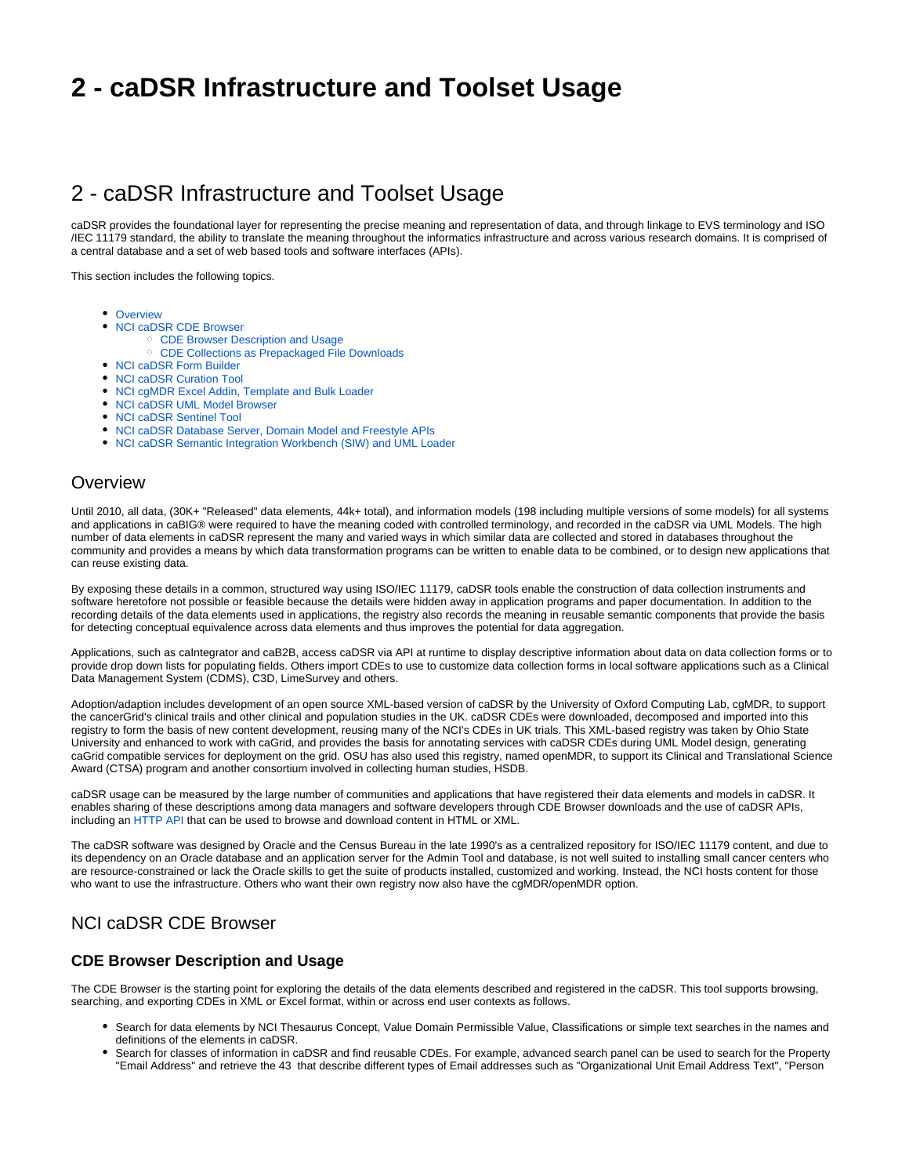# **2 - caDSR Infrastructure and Toolset Usage**

# 2 - caDSR Infrastructure and Toolset Usage

caDSR provides the foundational layer for representing the precise meaning and representation of data, and through linkage to EVS terminology and ISO /IEC 11179 standard, the ability to translate the meaning throughout the informatics infrastructure and across various research domains. It is comprised of a central database and a set of web based tools and software interfaces (APIs).

This section includes the following topics.

- [Overview](#page-0-0)
- [NCI caDSR CDE Browser](#page-0-1)
	- <sup>o</sup> [CDE Browser Description and Usage](#page-0-2)
	- [CDE Collections as Prepackaged File Downloads](#page-1-0)
- [NCI caDSR Form Builder](#page-1-1)
- [NCI caDSR Curation Tool](#page-2-0)
- [NCI cgMDR Excel Addin, Template and Bulk Loader](#page-3-0)
- [NCI caDSR UML Model Browser](#page-3-1)
- [NCI caDSR Sentinel Tool](#page-4-0)
- [NCI caDSR Database Server, Domain Model and Freestyle APIs](#page-4-1)
- [NCI caDSR Semantic Integration Workbench \(SIW\) and UML Loader](#page-5-0)

### <span id="page-0-0"></span>**Overview**

Until 2010, all data, (30K+ "Released" data elements, 44k+ total), and information models (198 including multiple versions of some models) for all systems and applications in caBIG® were required to have the meaning coded with controlled terminology, and recorded in the caDSR via UML Models. The high number of data elements in caDSR represent the many and varied ways in which similar data are collected and stored in databases throughout the community and provides a means by which data transformation programs can be written to enable data to be combined, or to design new applications that can reuse existing data.

By exposing these details in a common, structured way using ISO/IEC 11179, caDSR tools enable the construction of data collection instruments and software heretofore not possible or feasible because the details were hidden away in application programs and paper documentation. In addition to the recording details of the data elements used in applications, the registry also records the meaning in reusable semantic components that provide the basis for detecting conceptual equivalence across data elements and thus improves the potential for data aggregation.

Applications, such as caIntegrator and caB2B, access caDSR via API at runtime to display descriptive information about data on data collection forms or to provide drop down lists for populating fields. Others import CDEs to use to customize data collection forms in local software applications such as a Clinical Data Management System (CDMS), C3D, LimeSurvey and others.

Adoption/adaption includes development of an open source XML-based version of caDSR by the University of Oxford Computing Lab, cgMDR, to support the cancerGrid's clinical trails and other clinical and population studies in the UK. caDSR CDEs were downloaded, decomposed and imported into this registry to form the basis of new content development, reusing many of the NCI's CDEs in UK trials. This XML-based registry was taken by Ohio State University and enhanced to work with caGrid, and provides the basis for annotating services with caDSR CDEs during UML Model design, generating caGrid compatible services for deployment on the grid. OSU has also used this registry, named openMDR, to support its Clinical and Translational Science Award (CTSA) program and another consortium involved in collecting human studies, HSDB.

caDSR usage can be measured by the large number of communities and applications that have registered their data elements and models in caDSR. It enables sharing of these descriptions among data managers and software developers through CDE Browser downloads and the use of caDSR APIs, including an [HTTP API](http://cadsrapi-qa.nci.nih.gov/cadsrapi40/ShowDynamicTree.action) that can be used to browse and download content in HTML or XML.

The caDSR software was designed by Oracle and the Census Bureau in the late 1990's as a centralized repository for ISO/IEC 11179 content, and due to its dependency on an Oracle database and an application server for the Admin Tool and database, is not well suited to installing small cancer centers who are resource-constrained or lack the Oracle skills to get the suite of products installed, customized and working. Instead, the NCI hosts content for those who want to use the infrastructure. Others who want their own registry now also have the cgMDR/openMDR option.

# <span id="page-0-1"></span>NCI caDSR CDE Browser

#### <span id="page-0-2"></span>**CDE Browser Description and Usage**

The CDE Browser is the starting point for exploring the details of the data elements described and registered in the caDSR. This tool supports browsing, searching, and exporting CDEs in XML or Excel format, within or across end user contexts as follows.

- Search for data elements by NCI Thesaurus Concept, Value Domain Permissible Value, Classifications or simple text searches in the names and definitions of the elements in caDSR.
- Search for classes of information in caDSR and find reusable CDEs. For example, advanced search panel can be used to search for the Property "Email Address" and retrieve the 43 that describe different types of Email addresses such as "Organizational Unit Email Address Text", "Person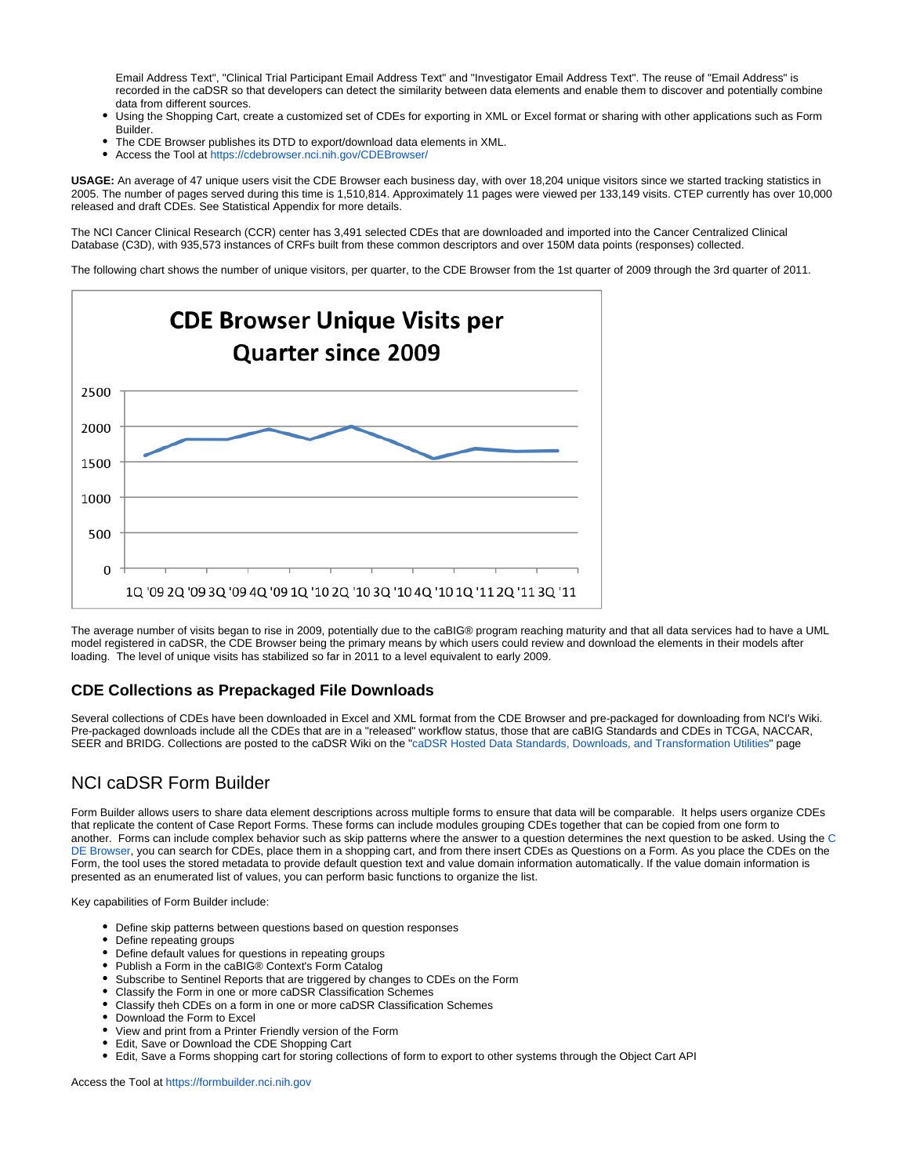Email Address Text", "Clinical Trial Participant Email Address Text" and "Investigator Email Address Text". The reuse of "Email Address" is recorded in the caDSR so that developers can detect the similarity between data elements and enable them to discover and potentially combine data from different sources.

- Using the Shopping Cart, create a customized set of CDEs for exporting in XML or Excel format or sharing with other applications such as Form Builder.
- The CDE Browser publishes its DTD to export/download data elements in XML.
- Access the Tool at <https://cdebrowser.nci.nih.gov/CDEBrowser/>

**USAGE:** An average of 47 unique users visit the CDE Browser each business day, with over 18,204 unique visitors since we started tracking statistics in 2005. The number of pages served during this time is 1,510,814. Approximately 11 pages were viewed per 133,149 visits. CTEP currently has over 10,000 released and draft CDEs. See Statistical Appendix for more details.

The NCI Cancer Clinical Research (CCR) center has 3,491 selected CDEs that are downloaded and imported into the Cancer Centralized Clinical Database (C3D), with 935,573 instances of CRFs built from these common descriptors and over 150M data points (responses) collected.

The following chart shows the number of unique visitors, per quarter, to the CDE Browser from the 1st quarter of 2009 through the 3rd quarter of 2011.



The average number of visits began to rise in 2009, potentially due to the caBIG® program reaching maturity and that all data services had to have a UML model registered in caDSR, the CDE Browser being the primary means by which users could review and download the elements in their models after loading. The level of unique visits has stabilized so far in 2011 to a level equivalent to early 2009.

#### <span id="page-1-0"></span>**CDE Collections as Prepackaged File Downloads**

Several collections of CDEs have been downloaded in Excel and XML format from the CDE Browser and pre-packaged for downloading from NCI's Wiki. Pre-packaged downloads include all the CDEs that are in a "released" workflow status, those that are caBIG Standards and CDEs in TCGA, NACCAR, SEER and BRIDG. Collections are posted to the caDSR Wiki on the "[caDSR Hosted Data Standards, Downloads, and Transformation Utilities](https://wiki.nci.nih.gov/display/caDSR/caDSR+Hosted+Data+Standards%2C+Downloads%2C+and+Transformation+Utilities)" page

# <span id="page-1-1"></span>NCI caDSR Form Builder

Form Builder allows users to share data element descriptions across multiple forms to ensure that data will be comparable. It helps users organize CDEs that replicate the content of Case Report Forms. These forms can include modules grouping CDEs together that can be copied from one form to another. Forms can include complex behavior such as skip patterns where the answer to a question determines the next question to be asked. Using the [C](https://wiki.nci.nih.gov/x/OoEI) [DE Browser](https://wiki.nci.nih.gov/x/OoEI), you can search for CDEs, place them in a shopping cart, and from there insert CDEs as Questions on a Form. As you place the CDEs on the Form, the tool uses the stored metadata to provide default question text and value domain information automatically. If the value domain information is presented as an enumerated list of values, you can perform basic functions to organize the list.

Key capabilities of Form Builder include:

- Define skip patterns between questions based on question responses
- Define repeating groups
- Define default values for questions in repeating groups
- $\bullet$ Publish a Form in the caBIG® Context's Form Catalog
- Subscribe to Sentinel Reports that are triggered by changes to CDEs on the Form
- Classify the Form in one or more caDSR Classification Schemes
- Classify theh CDEs on a form in one or more caDSR Classification Schemes
- Download the Form to Excel
- View and print from a Printer Friendly version of the Form
- Edit, Save or Download the CDE Shopping Cart
- Edit, Save a Forms shopping cart for storing collections of form to export to other systems through the Object Cart API

Access the Tool at [https://formbuilder.nci.nih.gov](https://formbuilder.nci.nih.gov/FormBuilder)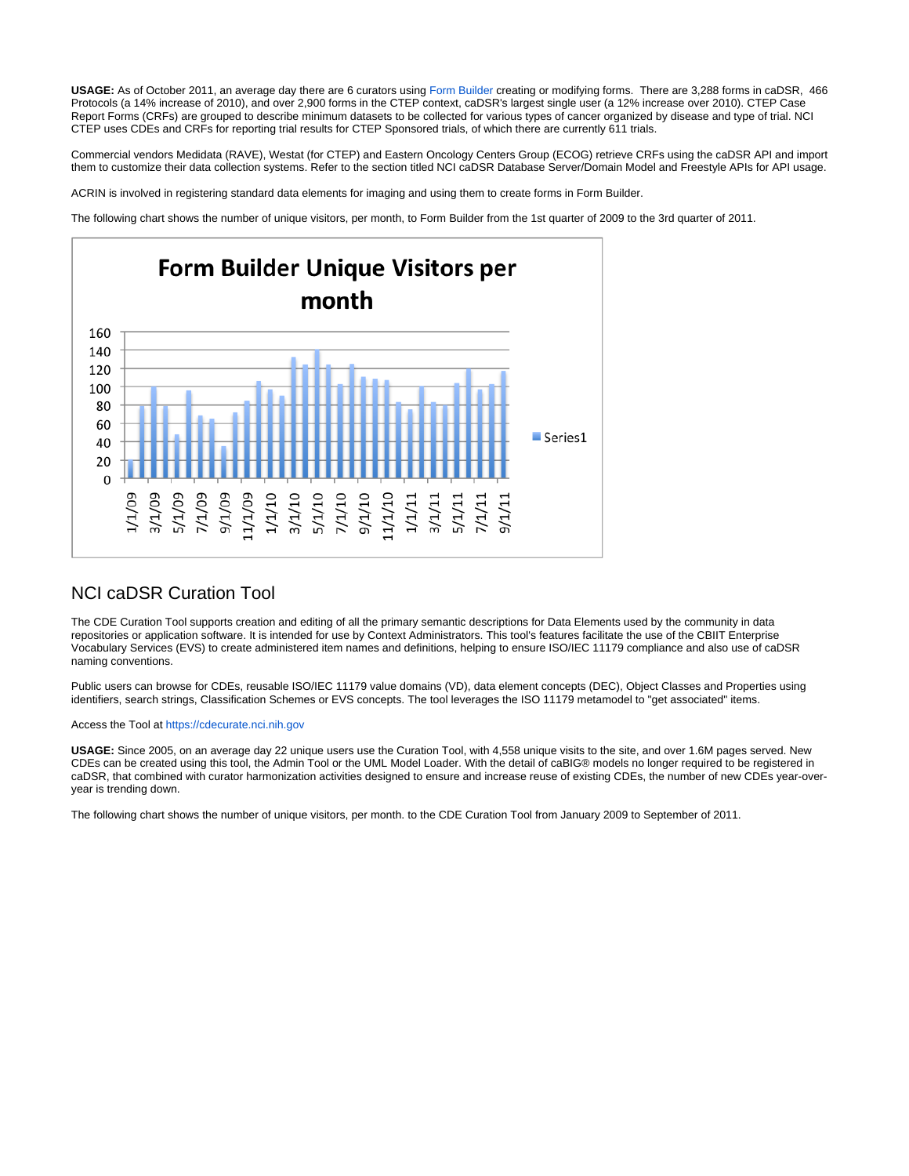**USAGE:** As of October 2011, an average day there are 6 curators using [Form Builder](http://formbuilder.nci.nih.gov) creating or modifying forms. There are 3,288 forms in caDSR, 466 Protocols (a 14% increase of 2010), and over 2,900 forms in the CTEP context, caDSR's largest single user (a 12% increase over 2010). CTEP Case Report Forms (CRFs) are grouped to describe minimum datasets to be collected for various types of cancer organized by disease and type of trial. NCI CTEP uses CDEs and CRFs for reporting trial results for CTEP Sponsored trials, of which there are currently 611 trials.

Commercial vendors Medidata (RAVE), Westat (for CTEP) and Eastern Oncology Centers Group (ECOG) retrieve CRFs using the caDSR API and import them to customize their data collection systems. Refer to the section titled NCI caDSR Database Server/Domain Model and Freestyle APIs for API usage.

ACRIN is involved in registering standard data elements for imaging and using them to create forms in Form Builder.

The following chart shows the number of unique visitors, per month, to Form Builder from the 1st quarter of 2009 to the 3rd quarter of 2011.



### <span id="page-2-0"></span>NCI caDSR Curation Tool

The CDE Curation Tool supports creation and editing of all the primary semantic descriptions for Data Elements used by the community in data repositories or application software. It is intended for use by Context Administrators. This tool's features facilitate the use of the CBIIT Enterprise Vocabulary Services (EVS) to create administered item names and definitions, helping to ensure ISO/IEC 11179 compliance and also use of caDSR naming conventions.

Public users can browse for CDEs, reusable ISO/IEC 11179 value domains (VD), data element concepts (DEC), Object Classes and Properties using identifiers, search strings, Classification Schemes or EVS concepts. The tool leverages the ISO 11179 metamodel to "get associated" items.

#### Access the Tool at [https://cdecurate.nci.nih.gov](https://cdecurate.nci.nih.gov/cdecurate/NCICurationServlet?reqType=homePage)

**USAGE:** Since 2005, on an average day 22 unique users use the Curation Tool, with 4,558 unique visits to the site, and over 1.6M pages served. New CDEs can be created using this tool, the Admin Tool or the UML Model Loader. With the detail of caBIG® models no longer required to be registered in caDSR, that combined with curator harmonization activities designed to ensure and increase reuse of existing CDEs, the number of new CDEs year-overyear is trending down.

The following chart shows the number of unique visitors, per month. to the CDE Curation Tool from January 2009 to September of 2011.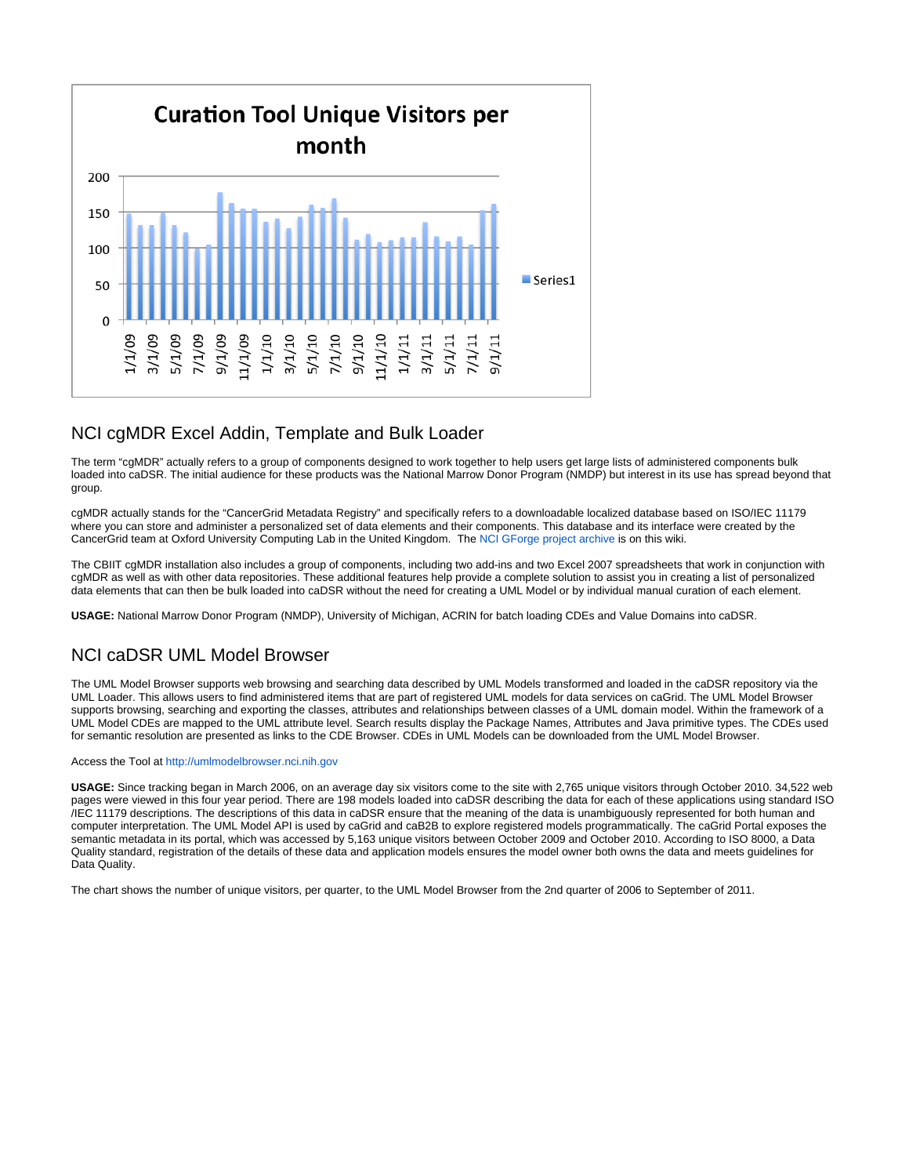

# <span id="page-3-0"></span>NCI cgMDR Excel Addin, Template and Bulk Loader

The term "cgMDR" actually refers to a group of components designed to work together to help users get large lists of administered components bulk loaded into caDSR. The initial audience for these products was the National Marrow Donor Program (NMDP) but interest in its use has spread beyond that group.

cgMDR actually stands for the "CancerGrid Metadata Registry" and specifically refers to a downloadable localized database based on ISO/IEC 11179 where you can store and administer a personalized set of data elements and their components. This database and its interface were created by the CancerGrid team at Oxford University Computing Lab in the United Kingdom. The [NCI GForge project archive](https://wiki.nci.nih.gov/pages/viewpage.action?pageId=138739771) is on this wiki.

The CBIIT cgMDR installation also includes a group of components, including two add-ins and two Excel 2007 spreadsheets that work in conjunction with cgMDR as well as with other data repositories. These additional features help provide a complete solution to assist you in creating a list of personalized data elements that can then be bulk loaded into caDSR without the need for creating a UML Model or by individual manual curation of each element.

**USAGE:** National Marrow Donor Program (NMDP), University of Michigan, ACRIN for batch loading CDEs and Value Domains into caDSR.

# <span id="page-3-1"></span>NCI caDSR UML Model Browser

The UML Model Browser supports web browsing and searching data described by UML Models transformed and loaded in the caDSR repository via the UML Loader. This allows users to find administered items that are part of registered UML models for data services on caGrid. The UML Model Browser supports browsing, searching and exporting the classes, attributes and relationships between classes of a UML domain model. Within the framework of a UML Model CDEs are mapped to the UML attribute level. Search results display the Package Names, Attributes and Java primitive types. The CDEs used for semantic resolution are presented as links to the CDE Browser. CDEs in UML Models can be downloaded from the UML Model Browser.

#### Access the Tool at [http://umlmodelbrowser.nci.nih.gov](http://umlmodelbrowser.nci.nih.gov/umlmodelbrowser/)

**USAGE:** Since tracking began in March 2006, on an average day six visitors come to the site with 2,765 unique visitors through October 2010. 34,522 web pages were viewed in this four year period. There are 198 models loaded into caDSR describing the data for each of these applications using standard ISO /IEC 11179 descriptions. The descriptions of this data in caDSR ensure that the meaning of the data is unambiguously represented for both human and computer interpretation. The UML Model API is used by caGrid and caB2B to explore registered models programmatically. The caGrid Portal exposes the semantic metadata in its portal, which was accessed by 5,163 unique visitors between October 2009 and October 2010. According to ISO 8000, a Data Quality standard, registration of the details of these data and application models ensures the model owner both owns the data and meets guidelines for Data Quality.

The chart shows the number of unique visitors, per quarter, to the UML Model Browser from the 2nd quarter of 2006 to September of 2011.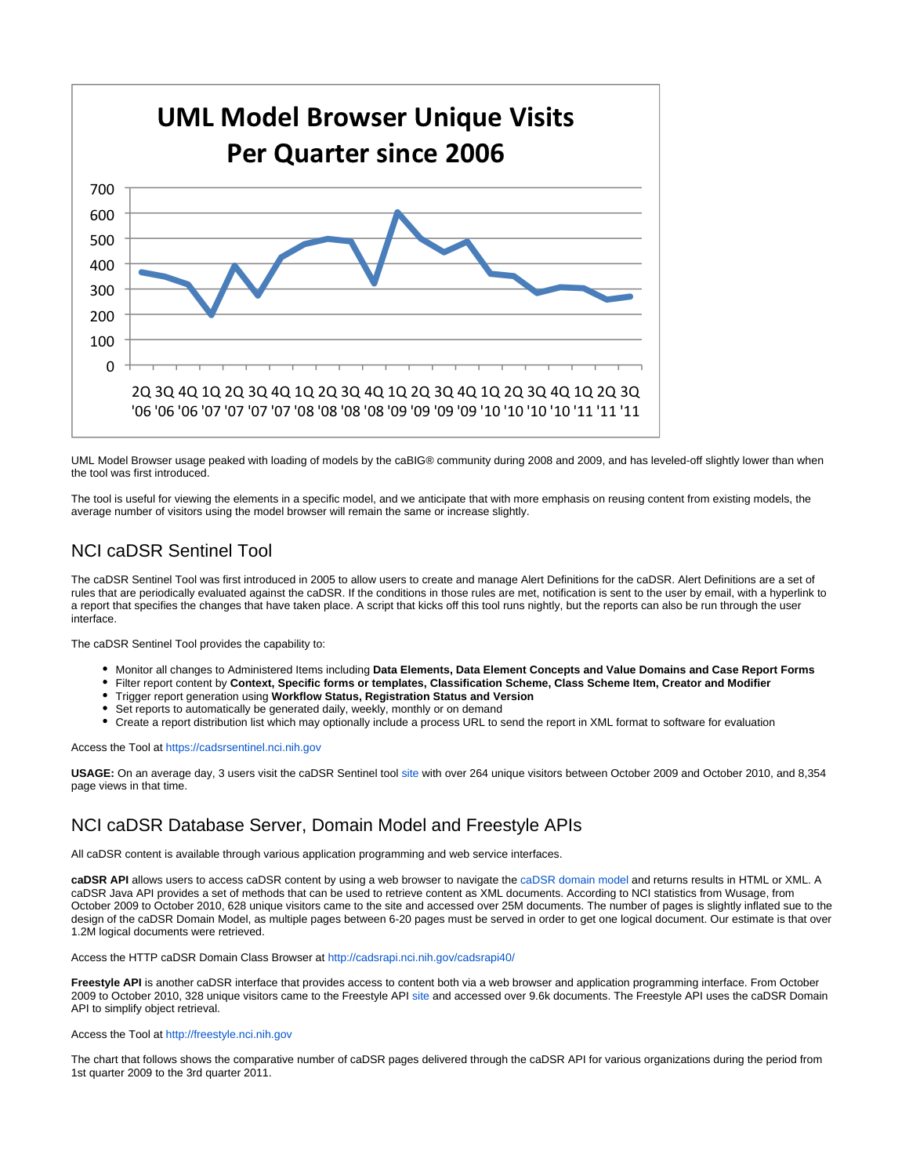

UML Model Browser usage peaked with loading of models by the caBIG® community during 2008 and 2009, and has leveled-off slightly lower than when the tool was first introduced.

The tool is useful for viewing the elements in a specific model, and we anticipate that with more emphasis on reusing content from existing models, the average number of visitors using the model browser will remain the same or increase slightly.

# <span id="page-4-0"></span>NCI caDSR Sentinel Tool

The caDSR Sentinel Tool was first introduced in 2005 to allow users to create and manage Alert Definitions for the caDSR. Alert Definitions are a set of rules that are periodically evaluated against the caDSR. If the conditions in those rules are met, notification is sent to the user by email, with a hyperlink to a report that specifies the changes that have taken place. A script that kicks off this tool runs nightly, but the reports can also be run through the user interface.

The caDSR Sentinel Tool provides the capability to:

- Monitor all changes to Administered Items including **Data Elements, Data Element Concepts and Value Domains and Case Report Forms**
- Filter report content by **Context, Specific forms or templates, Classification Scheme, Class Scheme Item, Creator and Modifier**
- Trigger report generation using **Workflow Status, Registration Status and Version**
- Set reports to automatically be generated daily, weekly, monthly or on demand
- Create a report distribution list which may optionally include a process URL to send the report in XML format to software for evaluation

#### Access the Tool at [https://cadsrsentinel.nci.nih.gov](https://cadsrsentinel.nci.nih.gov/cadsrsentinel/do/logon)

**USAGE:** On an average day, 3 users visit the caDSR Sentinel tool [site](http://cadsrsentinel.nci.nih.gov) with over 264 unique visitors between October 2009 and October 2010, and 8,354 page views in that time.

# <span id="page-4-1"></span>NCI caDSR Database Server, Domain Model and Freestyle APIs

All caDSR content is available through various application programming and web service interfaces.

**caDSR API** allows users to access caDSR content by using a web browser to navigate the [caDSR domain model](http://cadsrapi.nci.nih.gov) and returns results in HTML or XML. A caDSR Java API provides a set of methods that can be used to retrieve content as XML documents. According to NCI statistics from Wusage, from October 2009 to October 2010, 628 unique visitors came to the site and accessed over 25M documents. The number of pages is slightly inflated sue to the design of the caDSR Domain Model, as multiple pages between 6-20 pages must be served in order to get one logical document. Our estimate is that over 1.2M logical documents were retrieved.

Access the HTTP caDSR Domain Class Browser at [http://cadsrapi.nci.nih.gov/cadsrapi40/](http://cadsrapi.nci.nih.gov/cadsrapi40/ShowDynamicTree.action)

**Freestyle API** is another caDSR interface that provides access to content both via a web browser and application programming interface. From October 2009 to October 2010, 328 unique visitors came to the Freestyle API [site](http://freestyle.nci.nih.gov/) and accessed over 9.6k documents. The Freestyle API uses the caDSR Domain API to simplify object retrieval.

#### Access the Tool at [http://freestyle.nci.nih.gov](http://freestyle.nci.nih.gov/freestyle/do/search)

The chart that follows shows the comparative number of caDSR pages delivered through the caDSR API for various organizations during the period from 1st quarter 2009 to the 3rd quarter 2011.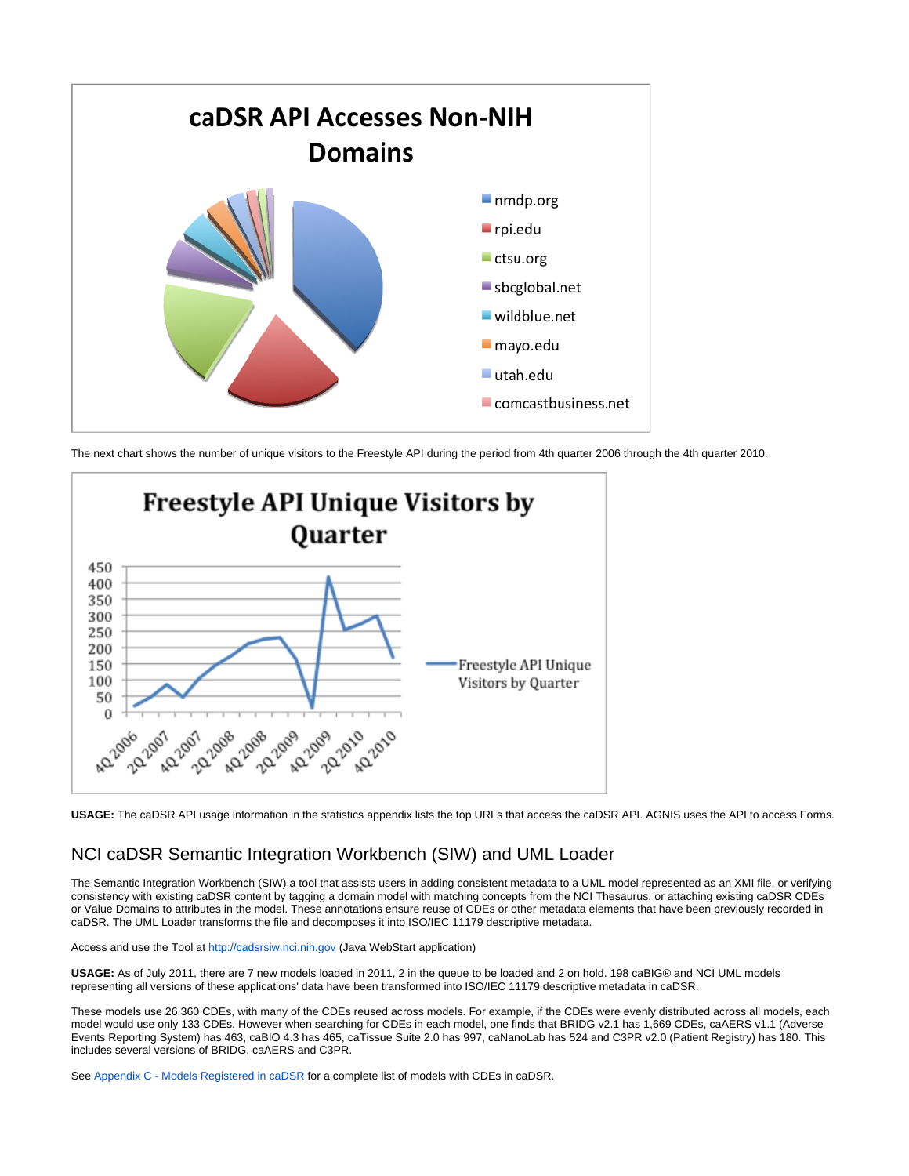

The next chart shows the number of unique visitors to the Freestyle API during the period from 4th quarter 2006 through the 4th quarter 2010.



**USAGE:** The caDSR API usage information in the statistics appendix lists the top URLs that access the caDSR API. AGNIS uses the API to access Forms.

### <span id="page-5-0"></span>NCI caDSR Semantic Integration Workbench (SIW) and UML Loader

The Semantic Integration Workbench (SIW) a tool that assists users in adding consistent metadata to a UML model represented as an XMI file, or verifying consistency with existing caDSR content by tagging a domain model with matching concepts from the NCI Thesaurus, or attaching existing caDSR CDEs or Value Domains to attributes in the model. These annotations ensure reuse of CDEs or other metadata elements that have been previously recorded in caDSR. The UML Loader transforms the file and decomposes it into ISO/IEC 11179 descriptive metadata.

Access and use the Tool at <http://cadsrsiw.nci.nih.gov> (Java WebStart application)

**USAGE:** As of July 2011, there are 7 new models loaded in 2011, 2 in the queue to be loaded and 2 on hold. 198 caBIG® and NCI UML models representing all versions of these applications' data have been transformed into ISO/IEC 11179 descriptive metadata in caDSR.

These models use 26,360 CDEs, with many of the CDEs reused across models. For example, if the CDEs were evenly distributed across all models, each model would use only 133 CDEs. However when searching for CDEs in each model, one finds that BRIDG v2.1 has 1,669 CDEs, caAERS v1.1 (Adverse Events Reporting System) has 463, caBIO 4.3 has 465, caTissue Suite 2.0 has 997, caNanoLab has 524 and C3PR v2.0 (Patient Registry) has 180. This includes several versions of BRIDG, caAERS and C3PR.

See [Appendix C - Models Registered in caDSR](https://wiki.nci.nih.gov/display/caDSR/Appendix+C+-+Models+Registered+in+caDSR) for a complete list of models with CDEs in caDSR.